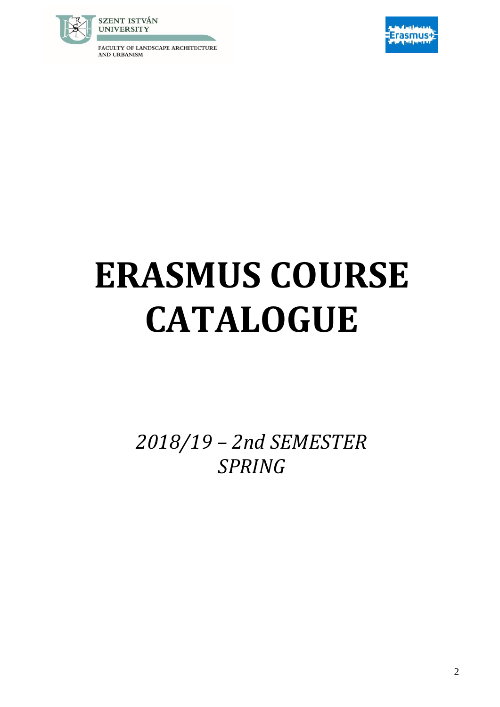FACULTY OF LANDSCAPE ARCHITECTURE AND URBANISM



## **ERASMUS COURSE CATALOGUE**

*2018/19 – 2nd SEMESTER SPRING*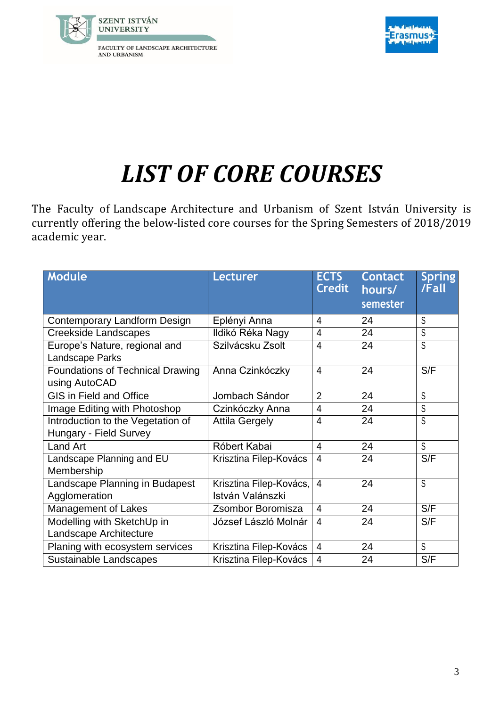



## *LIST OF CORE COURSES*

The Faculty of Landscape Architecture and Urbanism of Szent István University is currently offering the below-listed core courses for the Spring Semesters of 2018/2019 academic year.

| <b>Module</b>                           | <b>Lecturer</b>         | <b>ECTS</b><br><b>Credit</b> | <b>Contact</b><br>hours/ | <b>Spring</b><br>/Fall |
|-----------------------------------------|-------------------------|------------------------------|--------------------------|------------------------|
|                                         |                         |                              | semester                 |                        |
| Contemporary Landform Design            | Eplényi Anna            | $\overline{4}$               | 24                       | S                      |
| <b>Creekside Landscapes</b>             | Ildikó Réka Nagy        | $\overline{4}$               | 24                       | S                      |
| Europe's Nature, regional and           | Szilvácsku Zsolt        | $\overline{4}$               | 24                       | S                      |
| Landscape Parks                         |                         |                              |                          |                        |
| <b>Foundations of Technical Drawing</b> | Anna Czinkóczky         | $\overline{4}$               | 24                       | S/F                    |
| using AutoCAD                           |                         |                              |                          |                        |
| <b>GIS in Field and Office</b>          | Jombach Sándor          | $\overline{2}$               | 24                       | S                      |
| Image Editing with Photoshop            | Czinkóczky Anna         | $\overline{4}$               | 24                       | S                      |
| Introduction to the Vegetation of       | <b>Attila Gergely</b>   | $\overline{4}$               | 24                       | S                      |
| Hungary - Field Survey                  |                         |                              |                          |                        |
| <b>Land Art</b>                         | Róbert Kabai            | $\overline{4}$               | 24                       | S                      |
| Landscape Planning and EU               | Krisztina Filep-Kovács  | $\overline{4}$               | 24                       | S/F                    |
| Membership                              |                         |                              |                          |                        |
| Landscape Planning in Budapest          | Krisztina Filep-Kovács, | $\overline{4}$               | 24                       | S                      |
| Agglomeration                           | István Valánszki        |                              |                          |                        |
| <b>Management of Lakes</b>              | Zsombor Boromisza       | $\overline{4}$               | 24                       | S/F                    |
| Modelling with SketchUp in              | József László Molnár    | $\overline{4}$               | 24                       | S/F                    |
| Landscape Architecture                  |                         |                              |                          |                        |
| Planing with ecosystem services         | Krisztina Filep-Kovács  | $\overline{4}$               | 24                       | S                      |
| Sustainable Landscapes                  | Krisztina Filep-Kovács  | $\overline{4}$               | 24                       | S/F                    |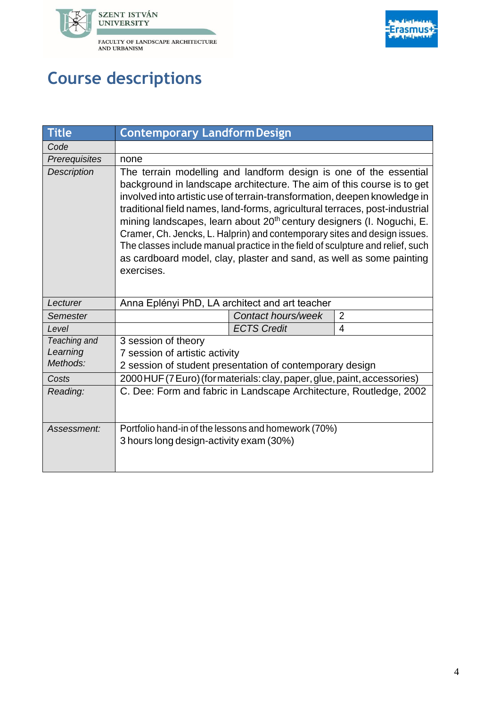



## **Course descriptions**

| <b>Title</b>                         | <b>Contemporary Landform Design</b>                                                                                                                                                                                                                                                                                                                                                                                                                                                                                                                                                                                                               |  |                |  |
|--------------------------------------|---------------------------------------------------------------------------------------------------------------------------------------------------------------------------------------------------------------------------------------------------------------------------------------------------------------------------------------------------------------------------------------------------------------------------------------------------------------------------------------------------------------------------------------------------------------------------------------------------------------------------------------------------|--|----------------|--|
| Code                                 |                                                                                                                                                                                                                                                                                                                                                                                                                                                                                                                                                                                                                                                   |  |                |  |
| Prerequisites                        | none                                                                                                                                                                                                                                                                                                                                                                                                                                                                                                                                                                                                                                              |  |                |  |
| <b>Description</b>                   | The terrain modelling and landform design is one of the essential<br>background in landscape architecture. The aim of this course is to get<br>involved into artistic use of terrain-transformation, deepen knowledge in<br>traditional field names, land-forms, agricultural terraces, post-industrial<br>mining landscapes, learn about 20 <sup>th</sup> century designers (I. Noguchi, E.<br>Cramer, Ch. Jencks, L. Halprin) and contemporary sites and design issues.<br>The classes include manual practice in the field of sculpture and relief, such<br>as cardboard model, clay, plaster and sand, as well as some painting<br>exercises. |  |                |  |
| Lecturer                             | Anna Eplényi PhD, LA architect and art teacher                                                                                                                                                                                                                                                                                                                                                                                                                                                                                                                                                                                                    |  |                |  |
| Semester                             | Contact hours/week                                                                                                                                                                                                                                                                                                                                                                                                                                                                                                                                                                                                                                |  | $\overline{2}$ |  |
| Level                                | <b>ECTS Credit</b>                                                                                                                                                                                                                                                                                                                                                                                                                                                                                                                                                                                                                                |  | $\overline{4}$ |  |
| Teaching and<br>Learning<br>Methods: | 3 session of theory<br>7 session of artistic activity<br>2 session of student presentation of contemporary design                                                                                                                                                                                                                                                                                                                                                                                                                                                                                                                                 |  |                |  |
| Costs                                | 2000 HUF (7 Euro) (for materials: clay, paper, glue, paint, accessories)                                                                                                                                                                                                                                                                                                                                                                                                                                                                                                                                                                          |  |                |  |
| Reading:                             | C. Dee: Form and fabric in Landscape Architecture, Routledge, 2002                                                                                                                                                                                                                                                                                                                                                                                                                                                                                                                                                                                |  |                |  |
| Assessment:                          | Portfolio hand-in of the lessons and homework (70%)<br>3 hours long design-activity exam (30%)                                                                                                                                                                                                                                                                                                                                                                                                                                                                                                                                                    |  |                |  |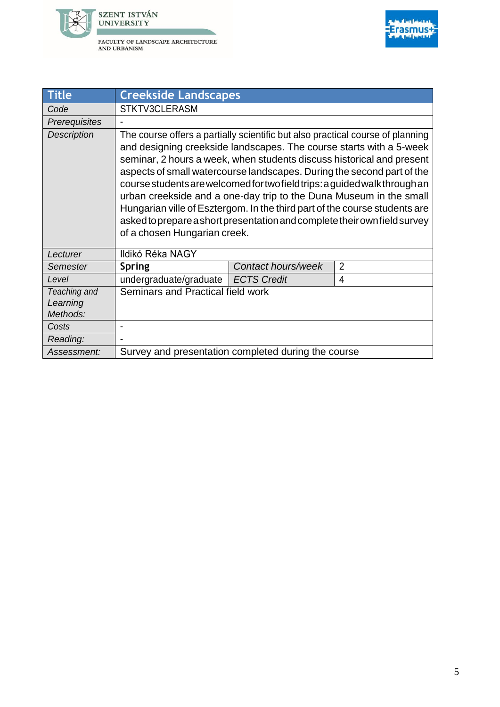



| <b>Title</b>         | <b>Creekside Landscapes</b>                                                                                                                                                                                                                                                                                                                                                                                                                                                                                                                                                                                                                             |                    |                |  |
|----------------------|---------------------------------------------------------------------------------------------------------------------------------------------------------------------------------------------------------------------------------------------------------------------------------------------------------------------------------------------------------------------------------------------------------------------------------------------------------------------------------------------------------------------------------------------------------------------------------------------------------------------------------------------------------|--------------------|----------------|--|
| Code                 | STKTV3CLERASM                                                                                                                                                                                                                                                                                                                                                                                                                                                                                                                                                                                                                                           |                    |                |  |
| Prerequisites        |                                                                                                                                                                                                                                                                                                                                                                                                                                                                                                                                                                                                                                                         |                    |                |  |
| <b>Description</b>   | The course offers a partially scientific but also practical course of planning<br>and designing creekside landscapes. The course starts with a 5-week<br>seminar, 2 hours a week, when students discuss historical and present<br>aspects of small watercourse landscapes. During the second part of the<br>course students are welcomed for two field trips: a guided walk through an<br>urban creekside and a one-day trip to the Duna Museum in the small<br>Hungarian ville of Esztergom. In the third part of the course students are<br>asked to prepare a short presentation and complete their own field survey<br>of a chosen Hungarian creek. |                    |                |  |
| Lecturer             | Ildikó Réka NAGY                                                                                                                                                                                                                                                                                                                                                                                                                                                                                                                                                                                                                                        |                    |                |  |
| <b>Semester</b>      | <b>Spring</b>                                                                                                                                                                                                                                                                                                                                                                                                                                                                                                                                                                                                                                           | Contact hours/week | $\overline{2}$ |  |
| Level                | undergraduate/graduate                                                                                                                                                                                                                                                                                                                                                                                                                                                                                                                                                                                                                                  | <b>ECTS Credit</b> | 4              |  |
| Teaching and         | Seminars and Practical field work                                                                                                                                                                                                                                                                                                                                                                                                                                                                                                                                                                                                                       |                    |                |  |
| Learning<br>Methods: |                                                                                                                                                                                                                                                                                                                                                                                                                                                                                                                                                                                                                                                         |                    |                |  |
| Costs                | $\blacksquare$                                                                                                                                                                                                                                                                                                                                                                                                                                                                                                                                                                                                                                          |                    |                |  |
| Reading:             |                                                                                                                                                                                                                                                                                                                                                                                                                                                                                                                                                                                                                                                         |                    |                |  |
| Assessment:          | Survey and presentation completed during the course                                                                                                                                                                                                                                                                                                                                                                                                                                                                                                                                                                                                     |                    |                |  |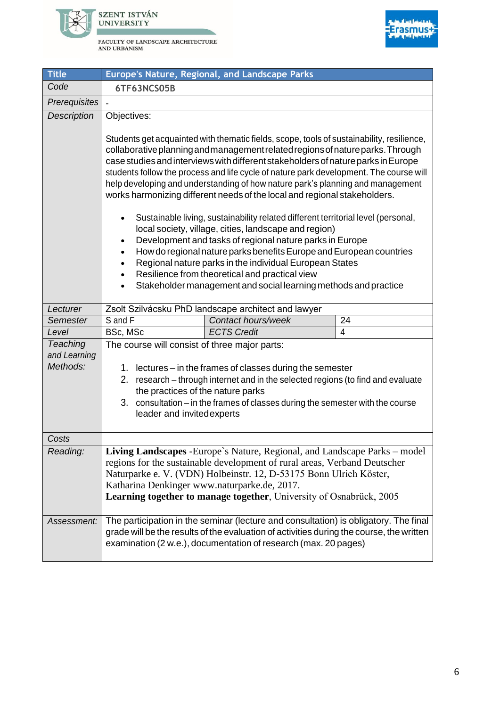



| <b>Title</b>             |                                               | Europe's Nature, Regional, and Landscape Parks                                                                                                                                                                                                                                                                                                                                                                                                                                                                                                                                                                                                                                                                                      |                |
|--------------------------|-----------------------------------------------|-------------------------------------------------------------------------------------------------------------------------------------------------------------------------------------------------------------------------------------------------------------------------------------------------------------------------------------------------------------------------------------------------------------------------------------------------------------------------------------------------------------------------------------------------------------------------------------------------------------------------------------------------------------------------------------------------------------------------------------|----------------|
| Code                     | 6TF63NCS05B                                   |                                                                                                                                                                                                                                                                                                                                                                                                                                                                                                                                                                                                                                                                                                                                     |                |
| <b>Prerequisites</b>     |                                               |                                                                                                                                                                                                                                                                                                                                                                                                                                                                                                                                                                                                                                                                                                                                     |                |
| <b>Description</b>       | Objectives:                                   |                                                                                                                                                                                                                                                                                                                                                                                                                                                                                                                                                                                                                                                                                                                                     |                |
|                          | $\bullet$                                     | Students get acquainted with thematic fields, scope, tools of sustainability, resilience,<br>collaborative planning and management related regions of nature parks. Through<br>case studies and interviews with different stakeholders of nature parks in Europe<br>students follow the process and life cycle of nature park development. The course will<br>help developing and understanding of how nature park's planning and management<br>works harmonizing different needs of the local and regional stakeholders.<br>Sustainable living, sustainability related different territorial level (personal,<br>local society, village, cities, landscape and region)<br>Development and tasks of regional nature parks in Europe |                |
|                          | $\bullet$                                     | How do regional nature parks benefits Europe and European countries                                                                                                                                                                                                                                                                                                                                                                                                                                                                                                                                                                                                                                                                 |                |
|                          | $\bullet$                                     | Regional nature parks in the individual European States                                                                                                                                                                                                                                                                                                                                                                                                                                                                                                                                                                                                                                                                             |                |
|                          | $\bullet$<br>$\bullet$                        | Resilience from theoretical and practical view<br>Stakeholder management and social learning methods and practice                                                                                                                                                                                                                                                                                                                                                                                                                                                                                                                                                                                                                   |                |
|                          |                                               |                                                                                                                                                                                                                                                                                                                                                                                                                                                                                                                                                                                                                                                                                                                                     |                |
| Lecturer                 |                                               | Zsolt Szilvácsku PhD landscape architect and lawyer                                                                                                                                                                                                                                                                                                                                                                                                                                                                                                                                                                                                                                                                                 |                |
| Semester                 | S and F                                       | Contact hours/week                                                                                                                                                                                                                                                                                                                                                                                                                                                                                                                                                                                                                                                                                                                  | 24             |
| Level                    | BSc, MSc                                      | <b>ECTS Credit</b>                                                                                                                                                                                                                                                                                                                                                                                                                                                                                                                                                                                                                                                                                                                  | $\overline{4}$ |
| Teaching<br>and Learning | The course will consist of three major parts: |                                                                                                                                                                                                                                                                                                                                                                                                                                                                                                                                                                                                                                                                                                                                     |                |
| Methods:                 |                                               | 1. lectures – in the frames of classes during the semester                                                                                                                                                                                                                                                                                                                                                                                                                                                                                                                                                                                                                                                                          |                |
|                          | 2.                                            | research - through internet and in the selected regions (to find and evaluate                                                                                                                                                                                                                                                                                                                                                                                                                                                                                                                                                                                                                                                       |                |
|                          | the practices of the nature parks             |                                                                                                                                                                                                                                                                                                                                                                                                                                                                                                                                                                                                                                                                                                                                     |                |
|                          | 3.                                            | consultation - in the frames of classes during the semester with the course                                                                                                                                                                                                                                                                                                                                                                                                                                                                                                                                                                                                                                                         |                |
|                          | leader and invited experts                    |                                                                                                                                                                                                                                                                                                                                                                                                                                                                                                                                                                                                                                                                                                                                     |                |
| Costs                    |                                               |                                                                                                                                                                                                                                                                                                                                                                                                                                                                                                                                                                                                                                                                                                                                     |                |
| Reading:                 |                                               | Living Landscapes - Europe's Nature, Regional, and Landscape Parks – model                                                                                                                                                                                                                                                                                                                                                                                                                                                                                                                                                                                                                                                          |                |
|                          |                                               | regions for the sustainable development of rural areas, Verband Deutscher                                                                                                                                                                                                                                                                                                                                                                                                                                                                                                                                                                                                                                                           |                |
|                          |                                               | Naturparke e. V. (VDN) Holbeinstr. 12, D-53175 Bonn Ulrich Köster,                                                                                                                                                                                                                                                                                                                                                                                                                                                                                                                                                                                                                                                                  |                |
|                          | Katharina Denkinger www.naturparke.de, 2017.  |                                                                                                                                                                                                                                                                                                                                                                                                                                                                                                                                                                                                                                                                                                                                     |                |
|                          |                                               | Learning together to manage together, University of Osnabrück, 2005                                                                                                                                                                                                                                                                                                                                                                                                                                                                                                                                                                                                                                                                 |                |
|                          |                                               |                                                                                                                                                                                                                                                                                                                                                                                                                                                                                                                                                                                                                                                                                                                                     |                |
| Assessment:              |                                               | The participation in the seminar (lecture and consultation) is obligatory. The final<br>grade will be the results of the evaluation of activities during the course, the written<br>examination (2 w.e.), documentation of research (max. 20 pages)                                                                                                                                                                                                                                                                                                                                                                                                                                                                                 |                |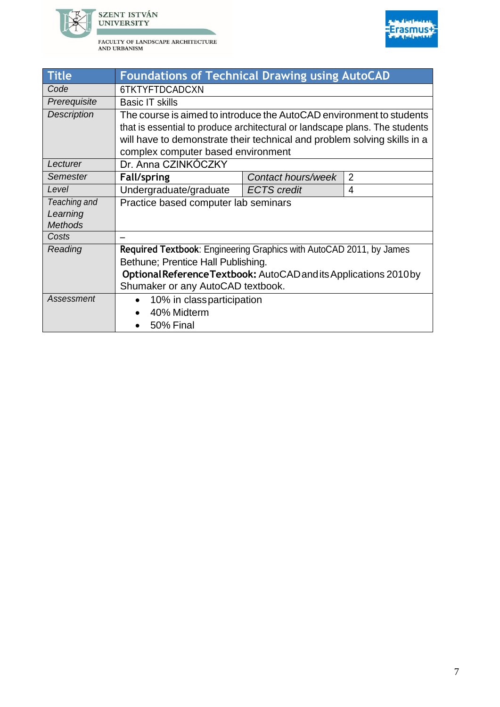



| <b>Title</b>       | <b>Foundations of Technical Drawing using AutoCAD</b>                                                                                               |                    |                |  |
|--------------------|-----------------------------------------------------------------------------------------------------------------------------------------------------|--------------------|----------------|--|
| Code               | 6TKTYFTDCADCXN                                                                                                                                      |                    |                |  |
| Prerequisite       | <b>Basic IT skills</b>                                                                                                                              |                    |                |  |
| <b>Description</b> | The course is aimed to introduce the AutoCAD environment to students<br>that is essential to produce architectural or landscape plans. The students |                    |                |  |
|                    | will have to demonstrate their technical and problem solving skills in a                                                                            |                    |                |  |
|                    | complex computer based environment                                                                                                                  |                    |                |  |
| Lecturer           | Dr. Anna CZINKÓCZKY                                                                                                                                 |                    |                |  |
| <b>Semester</b>    | Fall/spring                                                                                                                                         | Contact hours/week | $\overline{2}$ |  |
| Level              | Undergraduate/graduate                                                                                                                              | <b>ECTS</b> credit | 4              |  |
| Teaching and       | Practice based computer lab seminars                                                                                                                |                    |                |  |
| Learning           |                                                                                                                                                     |                    |                |  |
| <b>Methods</b>     |                                                                                                                                                     |                    |                |  |
| Costs              |                                                                                                                                                     |                    |                |  |
| Reading            | Required Textbook: Engineering Graphics with AutoCAD 2011, by James                                                                                 |                    |                |  |
|                    | Bethune; Prentice Hall Publishing.                                                                                                                  |                    |                |  |
|                    | Optional Reference Textbook: AutoCAD and its Applications 2010 by                                                                                   |                    |                |  |
|                    | Shumaker or any AutoCAD textbook.                                                                                                                   |                    |                |  |
| Assessment         | 10% in classparticipation                                                                                                                           |                    |                |  |
|                    | 40% Midterm                                                                                                                                         |                    |                |  |
|                    | 50% Final                                                                                                                                           |                    |                |  |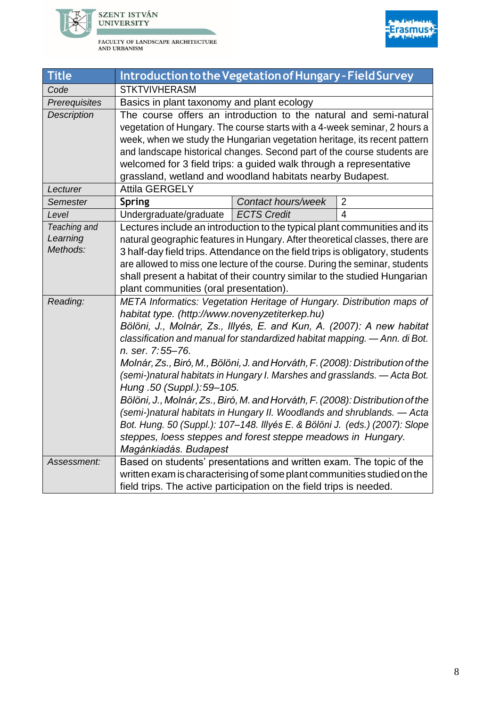



| <b>Title</b>             | Introduction to the Vegetation of Hungary - Field Survey                                                                                                     |                    |                |
|--------------------------|--------------------------------------------------------------------------------------------------------------------------------------------------------------|--------------------|----------------|
| Code                     | <b>STKTVIVHERASM</b>                                                                                                                                         |                    |                |
| Prerequisites            | Basics in plant taxonomy and plant ecology                                                                                                                   |                    |                |
| <b>Description</b>       | The course offers an introduction to the natural and semi-natural                                                                                            |                    |                |
|                          | vegetation of Hungary. The course starts with a 4-week seminar, 2 hours a                                                                                    |                    |                |
|                          | week, when we study the Hungarian vegetation heritage, its recent pattern                                                                                    |                    |                |
|                          | and landscape historical changes. Second part of the course students are                                                                                     |                    |                |
|                          | welcomed for 3 field trips: a guided walk through a representative                                                                                           |                    |                |
|                          | grassland, wetland and woodland habitats nearby Budapest.                                                                                                    |                    |                |
| Lecturer                 | <b>Attila GERGELY</b>                                                                                                                                        |                    |                |
| Semester                 | <b>Spring</b>                                                                                                                                                | Contact hours/week | $\overline{2}$ |
| Level                    | Undergraduate/graduate                                                                                                                                       | <b>ECTS Credit</b> | $\overline{4}$ |
| Teaching and<br>Learning | Lectures include an introduction to the typical plant communities and its                                                                                    |                    |                |
| Methods:                 | natural geographic features in Hungary. After theoretical classes, there are                                                                                 |                    |                |
|                          | 3 half-day field trips. Attendance on the field trips is obligatory, students<br>are allowed to miss one lecture of the course. During the seminar, students |                    |                |
|                          | shall present a habitat of their country similar to the studied Hungarian                                                                                    |                    |                |
|                          | plant communities (oral presentation).                                                                                                                       |                    |                |
| Reading:                 | META Informatics: Vegetation Heritage of Hungary. Distribution maps of                                                                                       |                    |                |
|                          | habitat type. (http://www.novenyzetiterkep.hu)                                                                                                               |                    |                |
|                          | Bölöni, J., Molnár, Zs., Illyés, E. and Kun, A. (2007): A new habitat                                                                                        |                    |                |
|                          | classification and manual for standardized habitat mapping. - Ann. di Bot.                                                                                   |                    |                |
|                          | n. ser. 7:55-76.                                                                                                                                             |                    |                |
|                          | Molnár, Zs., Biró, M., Bölöni, J. and Horváth, F. (2008): Distribution of the                                                                                |                    |                |
|                          | (semi-)natural habitats in Hungary I. Marshes and grasslands. — Acta Bot.                                                                                    |                    |                |
|                          | Hung .50 (Suppl.): 59-105.                                                                                                                                   |                    |                |
|                          | Bölöni, J., Molnár, Zs., Biró, M. and Horváth, F. (2008): Distribution of the                                                                                |                    |                |
|                          | (semi-)natural habitats in Hungary II. Woodlands and shrublands. - Acta                                                                                      |                    |                |
|                          | Bot. Hung. 50 (Suppl.): 107-148. Illyés E. & Bölöni J. (eds.) (2007): Slope                                                                                  |                    |                |
|                          | steppes, loess steppes and forest steppe meadows in Hungary.                                                                                                 |                    |                |
|                          | Magánkiadás. Budapest                                                                                                                                        |                    |                |
| Assessment:              | Based on students' presentations and written exam. The topic of the                                                                                          |                    |                |
|                          | written exam is characterising of some plant communities studied on the                                                                                      |                    |                |
|                          | field trips. The active participation on the field trips is needed.                                                                                          |                    |                |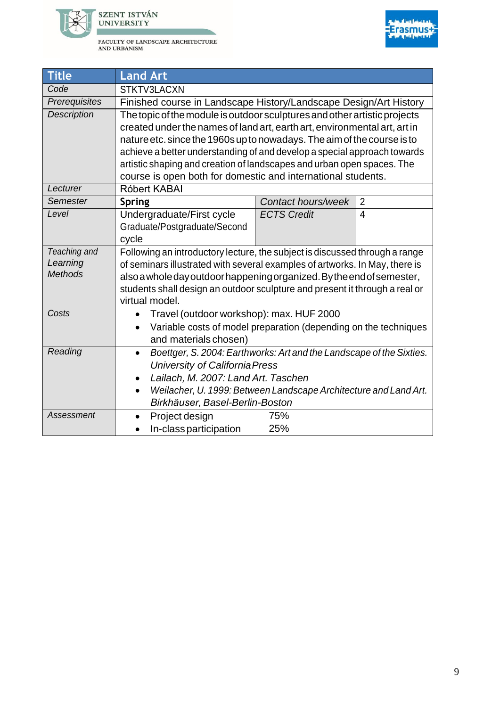



| <b>Title</b>   | <b>Land Art</b>                                                                   |                    |                          |  |
|----------------|-----------------------------------------------------------------------------------|--------------------|--------------------------|--|
| Code           | STKTV3LACXN                                                                       |                    |                          |  |
| Prerequisites  | Finished course in Landscape History/Landscape Design/Art History                 |                    |                          |  |
| Description    | The topic of the module is outdoor sculptures and other artistic projects         |                    |                          |  |
|                | created under the names of land art, earth art, environmental art, art in         |                    |                          |  |
|                | nature etc. since the 1960s up to nowadays. The aim of the course is to           |                    |                          |  |
|                | achieve a better understanding of and develop a special approach towards          |                    |                          |  |
|                | artistic shaping and creation of landscapes and urban open spaces. The            |                    |                          |  |
|                | course is open both for domestic and international students.                      |                    |                          |  |
| Lecturer       | Róbert KABAI                                                                      |                    |                          |  |
| Semester       | <b>Spring</b>                                                                     | Contact hours/week | $\overline{2}$           |  |
| Level          | Undergraduate/First cycle                                                         | <b>ECTS Credit</b> | $\overline{\mathcal{A}}$ |  |
|                | Graduate/Postgraduate/Second                                                      |                    |                          |  |
|                | cycle                                                                             |                    |                          |  |
| Teaching and   | Following an introductory lecture, the subject is discussed through a range       |                    |                          |  |
| Learning       | of seminars illustrated with several examples of artworks. In May, there is       |                    |                          |  |
| <b>Methods</b> | also a whole day outdoor happening organized. By the end of semester,             |                    |                          |  |
|                | students shall design an outdoor sculpture and present it through a real or       |                    |                          |  |
|                | virtual model.                                                                    |                    |                          |  |
| Costs          | Travel (outdoor workshop): max. HUF 2000<br>$\bullet$                             |                    |                          |  |
|                | Variable costs of model preparation (depending on the techniques<br>$\bullet$     |                    |                          |  |
|                | and materials chosen)                                                             |                    |                          |  |
| Reading        | Boettger, S. 2004: Earthworks: Art and the Landscape of the Sixties.<br>$\bullet$ |                    |                          |  |
|                | University of California Press                                                    |                    |                          |  |
|                | Lailach, M. 2007: Land Art. Taschen                                               |                    |                          |  |
|                | Weilacher, U. 1999: Between Landscape Architecture and Land Art.<br>$\bullet$     |                    |                          |  |
|                | Birkhäuser, Basel-Berlin-Boston                                                   |                    |                          |  |
| Assessment     | Project design<br>$\bullet$                                                       | 75%                |                          |  |
|                | In-class participation<br>$\bullet$                                               | 25%                |                          |  |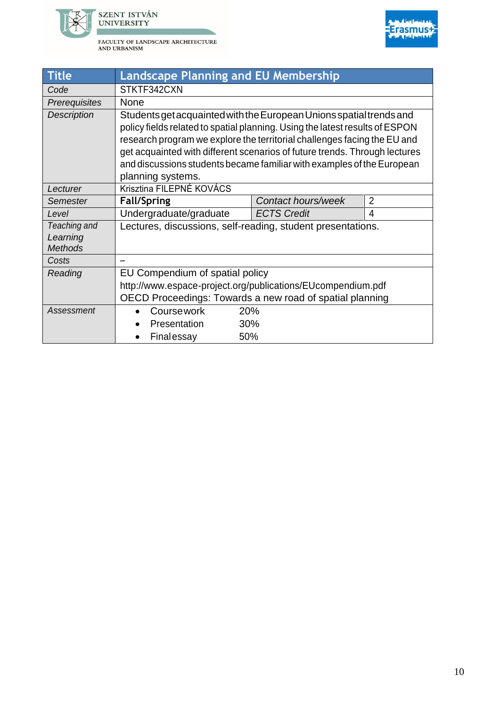



| <b>Title</b>                               | <b>Landscape Planning and EU Membership</b>                                                                                                                                                                                                                                                                                                                                                                  |                    |                |  |
|--------------------------------------------|--------------------------------------------------------------------------------------------------------------------------------------------------------------------------------------------------------------------------------------------------------------------------------------------------------------------------------------------------------------------------------------------------------------|--------------------|----------------|--|
| Code                                       | STKTF342CXN                                                                                                                                                                                                                                                                                                                                                                                                  |                    |                |  |
| Prerequisites                              | <b>None</b>                                                                                                                                                                                                                                                                                                                                                                                                  |                    |                |  |
| <b>Description</b>                         | Students get acquainted with the European Unions spatial trends and<br>policy fields related to spatial planning. Using the latest results of ESPON<br>research program we explore the territorial challenges facing the EU and<br>get acquainted with different scenarios of future trends. Through lectures<br>and discussions students became familiar with examples of the European<br>planning systems. |                    |                |  |
| Lecturer                                   | Krisztina FILEPNÉ KOVÁCS                                                                                                                                                                                                                                                                                                                                                                                     |                    |                |  |
| Semester                                   | <b>Fall/Spring</b>                                                                                                                                                                                                                                                                                                                                                                                           | Contact hours/week | $\overline{2}$ |  |
| Level                                      | Undergraduate/graduate                                                                                                                                                                                                                                                                                                                                                                                       | <b>ECTS Credit</b> | 4              |  |
| Teaching and<br>Learning<br><b>Methods</b> | Lectures, discussions, self-reading, student presentations.                                                                                                                                                                                                                                                                                                                                                  |                    |                |  |
| Costs                                      |                                                                                                                                                                                                                                                                                                                                                                                                              |                    |                |  |
| Reading                                    | EU Compendium of spatial policy                                                                                                                                                                                                                                                                                                                                                                              |                    |                |  |
|                                            | http://www.espace-project.org/publications/EUcompendium.pdf<br>OECD Proceedings: Towards a new road of spatial planning                                                                                                                                                                                                                                                                                      |                    |                |  |
| Assessment                                 | Coursework                                                                                                                                                                                                                                                                                                                                                                                                   | 20%                |                |  |
|                                            | Presentation<br>30%                                                                                                                                                                                                                                                                                                                                                                                          |                    |                |  |
|                                            | Finalessay                                                                                                                                                                                                                                                                                                                                                                                                   | 50%                |                |  |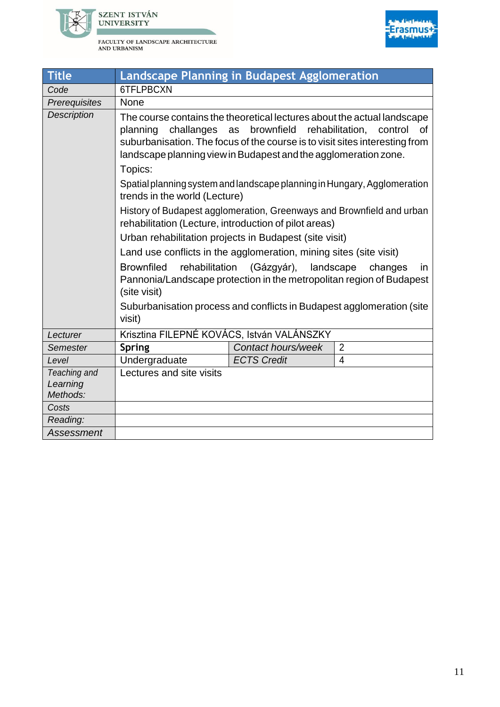



| <b>Title</b>                         | Landscape Planning in Budapest Agglomeration                                                                                                                                                                                                                                                                                                                                                                                                                                                                                                                                                                                                                                                                                                                                                                                                                    |                                |                                                                 |
|--------------------------------------|-----------------------------------------------------------------------------------------------------------------------------------------------------------------------------------------------------------------------------------------------------------------------------------------------------------------------------------------------------------------------------------------------------------------------------------------------------------------------------------------------------------------------------------------------------------------------------------------------------------------------------------------------------------------------------------------------------------------------------------------------------------------------------------------------------------------------------------------------------------------|--------------------------------|-----------------------------------------------------------------|
| Code                                 | 6TFLPBCXN                                                                                                                                                                                                                                                                                                                                                                                                                                                                                                                                                                                                                                                                                                                                                                                                                                                       |                                |                                                                 |
| Prerequisites                        | <b>None</b>                                                                                                                                                                                                                                                                                                                                                                                                                                                                                                                                                                                                                                                                                                                                                                                                                                                     |                                |                                                                 |
| <b>Description</b>                   | The course contains the theoretical lectures about the actual landscape<br>planning<br>challanges<br>suburbanisation. The focus of the course is to visit sites interesting from<br>landscape planning view in Budapest and the agglomeration zone.<br>Topics:<br>Spatial planning system and landscape planning in Hungary, Agglomeration<br>trends in the world (Lecture)<br>History of Budapest agglomeration, Greenways and Brownfield and urban<br>rehabilitation (Lecture, introduction of pilot areas)<br>Urban rehabilitation projects in Budapest (site visit)<br>Land use conflicts in the agglomeration, mining sites (site visit)<br><b>Brownfiled</b><br>rehabilitation<br>Pannonia/Landscape protection in the metropolitan region of Budapest<br>(site visit)<br>Suburbanisation process and conflicts in Budapest agglomeration (site<br>visit) | brownfield<br>as<br>(Gázgyár), | rehabilitation.<br>control<br>οf<br>landscape<br>changes<br>in. |
| Lecturer                             | Krisztina FILEPNÉ KOVÁCS, István VALÁNSZKY                                                                                                                                                                                                                                                                                                                                                                                                                                                                                                                                                                                                                                                                                                                                                                                                                      |                                |                                                                 |
| Semester                             | <b>Spring</b>                                                                                                                                                                                                                                                                                                                                                                                                                                                                                                                                                                                                                                                                                                                                                                                                                                                   | Contact hours/week             | $\overline{2}$                                                  |
| Level                                | Undergraduate                                                                                                                                                                                                                                                                                                                                                                                                                                                                                                                                                                                                                                                                                                                                                                                                                                                   | <b>ECTS Credit</b>             | $\overline{4}$                                                  |
| Teaching and<br>Learning<br>Methods: | Lectures and site visits                                                                                                                                                                                                                                                                                                                                                                                                                                                                                                                                                                                                                                                                                                                                                                                                                                        |                                |                                                                 |
| Costs                                |                                                                                                                                                                                                                                                                                                                                                                                                                                                                                                                                                                                                                                                                                                                                                                                                                                                                 |                                |                                                                 |
| Reading:                             |                                                                                                                                                                                                                                                                                                                                                                                                                                                                                                                                                                                                                                                                                                                                                                                                                                                                 |                                |                                                                 |
| Assessment                           |                                                                                                                                                                                                                                                                                                                                                                                                                                                                                                                                                                                                                                                                                                                                                                                                                                                                 |                                |                                                                 |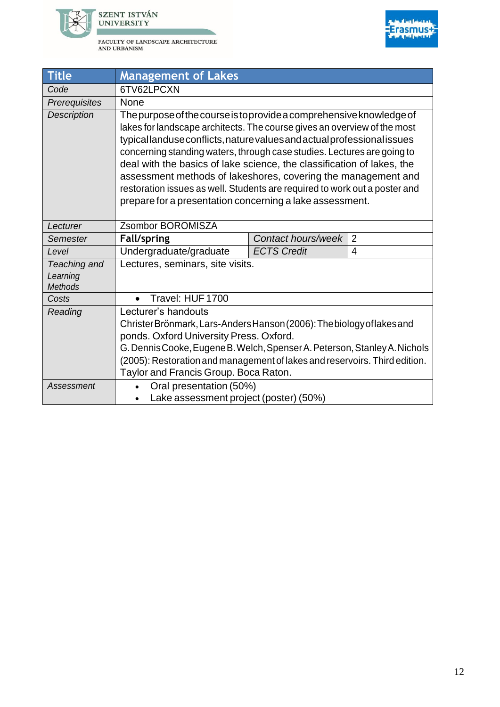



| <b>Title</b>                               | <b>Management of Lakes</b>                                                                                                                                                                                                                                                                                                                                                                                                                                                                                                                                                                 |                    |                |  |
|--------------------------------------------|--------------------------------------------------------------------------------------------------------------------------------------------------------------------------------------------------------------------------------------------------------------------------------------------------------------------------------------------------------------------------------------------------------------------------------------------------------------------------------------------------------------------------------------------------------------------------------------------|--------------------|----------------|--|
| Code                                       | 6TV62LPCXN                                                                                                                                                                                                                                                                                                                                                                                                                                                                                                                                                                                 |                    |                |  |
| Prerequisites                              | None                                                                                                                                                                                                                                                                                                                                                                                                                                                                                                                                                                                       |                    |                |  |
| <b>Description</b>                         | The purpose of the course is to provide a comprehensive knowledge of<br>lakes for landscape architects. The course gives an overview of the most<br>typicallanduse conflicts, nature values and actual professional issues<br>concerning standing waters, through case studies. Lectures are going to<br>deal with the basics of lake science, the classification of lakes, the<br>assessment methods of lakeshores, covering the management and<br>restoration issues as well. Students are required to work out a poster and<br>prepare for a presentation concerning a lake assessment. |                    |                |  |
| Lecturer                                   | Zsombor BOROMISZA                                                                                                                                                                                                                                                                                                                                                                                                                                                                                                                                                                          |                    |                |  |
| Semester                                   | <b>Fall/spring</b>                                                                                                                                                                                                                                                                                                                                                                                                                                                                                                                                                                         | Contact hours/week | $\overline{2}$ |  |
| Level                                      | Undergraduate/graduate                                                                                                                                                                                                                                                                                                                                                                                                                                                                                                                                                                     | <b>ECTS Credit</b> | 4              |  |
| Teaching and<br>Learning<br><b>Methods</b> | Lectures, seminars, site visits.                                                                                                                                                                                                                                                                                                                                                                                                                                                                                                                                                           |                    |                |  |
| Costs                                      | Travel: HUF 1700                                                                                                                                                                                                                                                                                                                                                                                                                                                                                                                                                                           |                    |                |  |
| Reading                                    | Lecturer's handouts<br>Christer Brönmark, Lars-Anders Hanson (2006): The biology of lakes and<br>ponds. Oxford University Press. Oxford.<br>G. Dennis Cooke, Eugene B. Welch, Spenser A. Peterson, Stanley A. Nichols<br>(2005): Restoration and management of lakes and reservoirs. Third edition.<br>Taylor and Francis Group. Boca Raton.                                                                                                                                                                                                                                               |                    |                |  |
| Assessment                                 | Oral presentation (50%)<br>Lake assessment project (poster) (50%)                                                                                                                                                                                                                                                                                                                                                                                                                                                                                                                          |                    |                |  |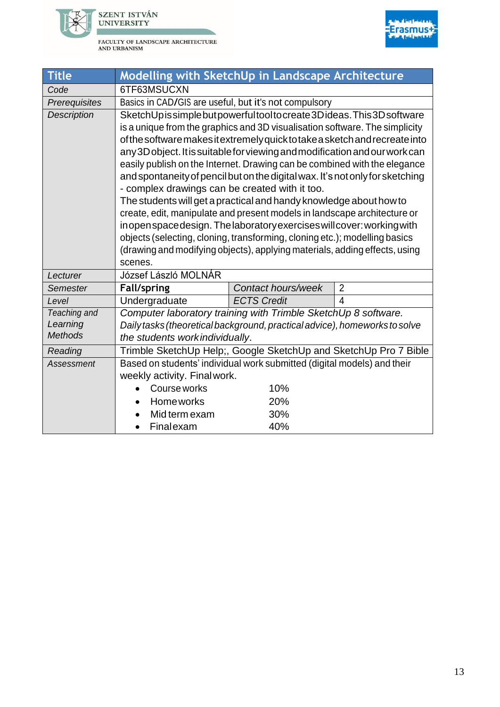



| <b>Title</b>       | Modelling with SketchUp in Landscape Architecture                                                                                                        |                    |                |  |
|--------------------|----------------------------------------------------------------------------------------------------------------------------------------------------------|--------------------|----------------|--|
| Code               | 6TF63MSUCXN                                                                                                                                              |                    |                |  |
| Prerequisites      | Basics in CAD/GIS are useful, but it's not compulsory                                                                                                    |                    |                |  |
| <b>Description</b> | SketchUpissimplebutpowerfultooltocreate3Dideas. This3Dsoftware                                                                                           |                    |                |  |
|                    | is a unique from the graphics and 3D visualisation software. The simplicity                                                                              |                    |                |  |
|                    | of the software makes it extremely quick to take a sketch and recreate into                                                                              |                    |                |  |
|                    | any 3D object. It is suitable for viewing and modification and our work can                                                                              |                    |                |  |
|                    | easily publish on the Internet. Drawing can be combined with the elegance                                                                                |                    |                |  |
|                    | and spontaneity of pencil but on the digital wax. It's not only for sketching                                                                            |                    |                |  |
|                    | - complex drawings can be created with it too.                                                                                                           |                    |                |  |
|                    | The students will get a practical and handy knowledge about how to                                                                                       |                    |                |  |
|                    | create, edit, manipulate and present models in landscape architecture or                                                                                 |                    |                |  |
|                    | inopenspacedesign. The laboratory exercises will cover: working with                                                                                     |                    |                |  |
|                    | objects (selecting, cloning, transforming, cloning etc.); modelling basics<br>(drawing and modifying objects), applying materials, adding effects, using |                    |                |  |
|                    | scenes.                                                                                                                                                  |                    |                |  |
| Lecturer           | József László MOLNÁR                                                                                                                                     |                    |                |  |
| Semester           | <b>Fall/spring</b>                                                                                                                                       | Contact hours/week | $\overline{2}$ |  |
| Level              | Undergraduate                                                                                                                                            | <b>ECTS Credit</b> | $\overline{4}$ |  |
| Teaching and       | Computer laboratory training with Trimble SketchUp 8 software.                                                                                           |                    |                |  |
| Learning           | Daily tasks (theoretical background, practical advice), homeworks to solve                                                                               |                    |                |  |
| <b>Methods</b>     | the students workindividually.                                                                                                                           |                    |                |  |
| Reading            | Trimble SketchUp Help;, Google SketchUp and SketchUp Pro 7 Bible                                                                                         |                    |                |  |
| Assessment         | Based on students' individual work submitted (digital models) and their                                                                                  |                    |                |  |
|                    | weekly activity. Final work.                                                                                                                             |                    |                |  |
|                    | Course works                                                                                                                                             | 10%                |                |  |
|                    | <b>Home works</b>                                                                                                                                        | 20%                |                |  |
|                    | Mid term exam                                                                                                                                            | 30%                |                |  |
|                    | Finalexam                                                                                                                                                | 40%                |                |  |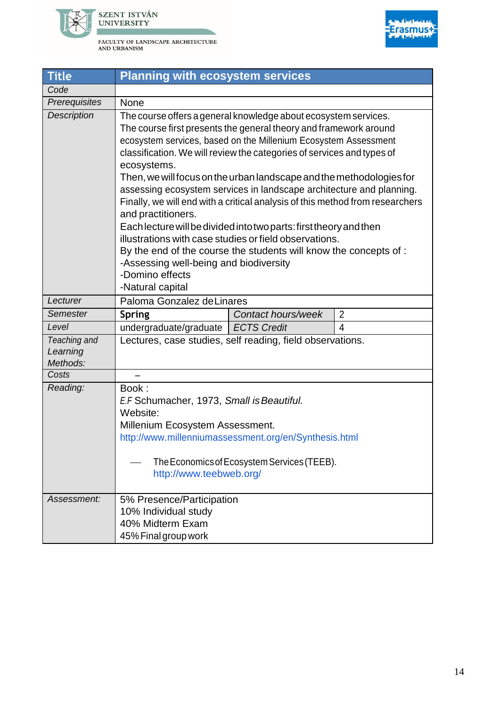



| <b>Title</b>                         | <b>Planning with ecosystem services</b>                                                                                                                                                                                                                                                                                                                                                                                                                                                                                                                                                                                                                                                                                                                                                                                                      |                    |                |  |
|--------------------------------------|----------------------------------------------------------------------------------------------------------------------------------------------------------------------------------------------------------------------------------------------------------------------------------------------------------------------------------------------------------------------------------------------------------------------------------------------------------------------------------------------------------------------------------------------------------------------------------------------------------------------------------------------------------------------------------------------------------------------------------------------------------------------------------------------------------------------------------------------|--------------------|----------------|--|
| Code                                 |                                                                                                                                                                                                                                                                                                                                                                                                                                                                                                                                                                                                                                                                                                                                                                                                                                              |                    |                |  |
| Prerequisites                        | <b>None</b>                                                                                                                                                                                                                                                                                                                                                                                                                                                                                                                                                                                                                                                                                                                                                                                                                                  |                    |                |  |
| <b>Description</b>                   | The course offers a general knowledge about ecosystem services.<br>The course first presents the general theory and framework around<br>ecosystem services, based on the Millenium Ecosystem Assessment<br>classification. We will review the categories of services and types of<br>ecosystems.<br>Then, we will focus on the urban landscape and the methodologies for<br>assessing ecosystem services in landscape architecture and planning.<br>Finally, we will end with a critical analysis of this method from researchers<br>and practitioners.<br>Each lecture will be divided into two parts: first theory and then<br>illustrations with case studies or field observations.<br>By the end of the course the students will know the concepts of:<br>-Assessing well-being and biodiversity<br>-Domino effects<br>-Natural capital |                    |                |  |
| Lecturer                             | Paloma Gonzalez de Linares                                                                                                                                                                                                                                                                                                                                                                                                                                                                                                                                                                                                                                                                                                                                                                                                                   |                    |                |  |
| <b>Semester</b>                      | <b>Spring</b>                                                                                                                                                                                                                                                                                                                                                                                                                                                                                                                                                                                                                                                                                                                                                                                                                                | Contact hours/week | $\overline{2}$ |  |
| Level                                | undergraduate/graduate   ECTS Credit                                                                                                                                                                                                                                                                                                                                                                                                                                                                                                                                                                                                                                                                                                                                                                                                         |                    | 4              |  |
| Teaching and<br>Learning<br>Methods: | Lectures, case studies, self reading, field observations.                                                                                                                                                                                                                                                                                                                                                                                                                                                                                                                                                                                                                                                                                                                                                                                    |                    |                |  |
| Costs                                |                                                                                                                                                                                                                                                                                                                                                                                                                                                                                                                                                                                                                                                                                                                                                                                                                                              |                    |                |  |
| Reading:                             | Book:<br>E.F Schumacher, 1973, Small is Beautiful.<br>Website:<br>Millenium Ecosystem Assessment.<br>http://www.millenniumassessment.org/en/Synthesis.html<br>The Economics of Ecosystem Services (TEEB).<br>http://www.teebweb.org/                                                                                                                                                                                                                                                                                                                                                                                                                                                                                                                                                                                                         |                    |                |  |
| Assessment:                          | 5% Presence/Participation<br>10% Individual study<br>40% Midterm Exam<br>45% Final group work                                                                                                                                                                                                                                                                                                                                                                                                                                                                                                                                                                                                                                                                                                                                                |                    |                |  |